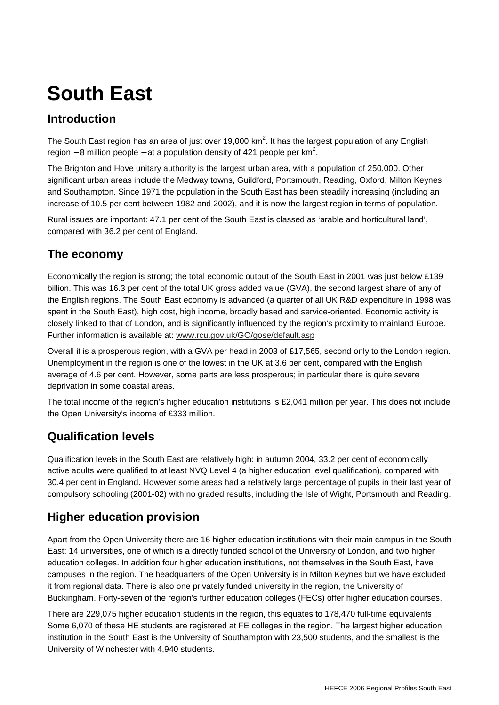## **South East**

## **Introduction**

The South East region has an area of just over 19,000 km<sup>2</sup>. It has the largest population of any English region – 8 million people – at a population density of 421 people per km<sup>2</sup>.

The Brighton and Hove unitary authority is the largest urban area, with a population of 250,000. Other significant urban areas include the Medway towns, Guildford, Portsmouth, Reading, Oxford, Milton Keynes and Southampton. Since 1971 the population in the South East has been steadily increasing (including an increase of 10.5 per cent between 1982 and 2002), and it is now the largest region in terms of population.

Rural issues are important: 47.1 per cent of the South East is classed as 'arable and horticultural land', compared with 36.2 per cent of England.

#### **The economy**

Economically the region is strong; the total economic output of the South East in 2001 was just below £139 billion. This was 16.3 per cent of the total UK gross added value (GVA), the second largest share of any of the English regions. The South East economy is advanced (a quarter of all UK R&D expenditure in 1998 was spent in the South East), high cost, high income, broadly based and service-oriented. Economic activity is closely linked to that of London, and is significantly influenced by the region's proximity to mainland Europe. Further information is available at: www.rcu.gov.uk/GO/gose/default.asp

Overall it is a prosperous region, with a GVA per head in 2003 of £17,565, second only to the London region. Unemployment in the region is one of the lowest in the UK at 3.6 per cent, compared with the English average of 4.6 per cent. However, some parts are less prosperous; in particular there is quite severe deprivation in some coastal areas.

The total income of the region's higher education institutions is £2,041 million per year. This does not include the Open University's income of £333 million.

#### **Qualification levels**

Qualification levels in the South East are relatively high: in autumn 2004, 33.2 per cent of economically active adults were qualified to at least NVQ Level 4 (a higher education level qualification), compared with 30.4 per cent in England. However some areas had a relatively large percentage of pupils in their last year of compulsory schooling (2001-02) with no graded results, including the Isle of Wight, Portsmouth and Reading.

#### **Higher education provision**

Apart from the Open University there are 16 higher education institutions with their main campus in the South East: 14 universities, one of which is a directly funded school of the University of London, and two higher education colleges. In addition four higher education institutions, not themselves in the South East, have campuses in the region. The headquarters of the Open University is in Milton Keynes but we have excluded it from regional data. There is also one privately funded university in the region, the University of Buckingham. Forty-seven of the region's further education colleges (FECs) offer higher education courses.

There are 229,075 higher education students in the region, this equates to 178,470 full-time equivalents . Some 6,070 of these HE students are registered at FE colleges in the region. The largest higher education institution in the South East is the University of Southampton with 23,500 students, and the smallest is the University of Winchester with 4,940 students.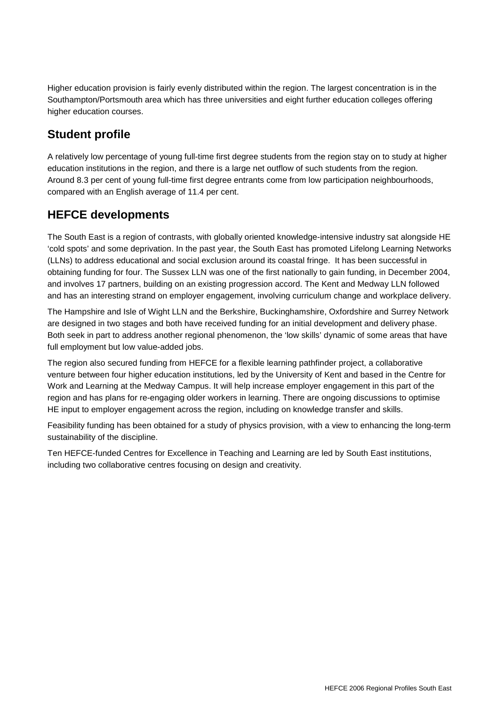Higher education provision is fairly evenly distributed within the region. The largest concentration is in the Southampton/Portsmouth area which has three universities and eight further education colleges offering higher education courses.

#### **Student profile**

A relatively low percentage of young full-time first degree students from the region stay on to study at higher education institutions in the region, and there is a large net outflow of such students from the region. Around 8.3 per cent of young full-time first degree entrants come from low participation neighbourhoods, compared with an English average of 11.4 per cent.

#### **HEFCE developments**

The South East is a region of contrasts, with globally oriented knowledge-intensive industry sat alongside HE 'cold spots' and some deprivation. In the past year, the South East has promoted Lifelong Learning Networks (LLNs) to address educational and social exclusion around its coastal fringe. It has been successful in obtaining funding for four. The Sussex LLN was one of the first nationally to gain funding, in December 2004, and involves 17 partners, building on an existing progression accord. The Kent and Medway LLN followed and has an interesting strand on employer engagement, involving curriculum change and workplace delivery.

The Hampshire and Isle of Wight LLN and the Berkshire, Buckinghamshire, Oxfordshire and Surrey Network are designed in two stages and both have received funding for an initial development and delivery phase. Both seek in part to address another regional phenomenon, the 'low skills' dynamic of some areas that have full employment but low value-added jobs.

The region also secured funding from HEFCE for a flexible learning pathfinder project, a collaborative venture between four higher education institutions, led by the University of Kent and based in the Centre for Work and Learning at the Medway Campus. It will help increase employer engagement in this part of the region and has plans for re-engaging older workers in learning. There are ongoing discussions to optimise HE input to employer engagement across the region, including on knowledge transfer and skills.

Feasibility funding has been obtained for a study of physics provision, with a view to enhancing the long-term sustainability of the discipline.

Ten HEFCE-funded Centres for Excellence in Teaching and Learning are led by South East institutions, including two collaborative centres focusing on design and creativity.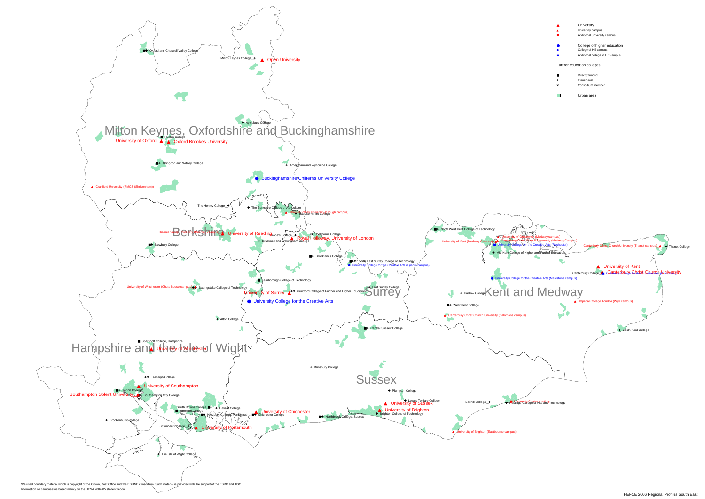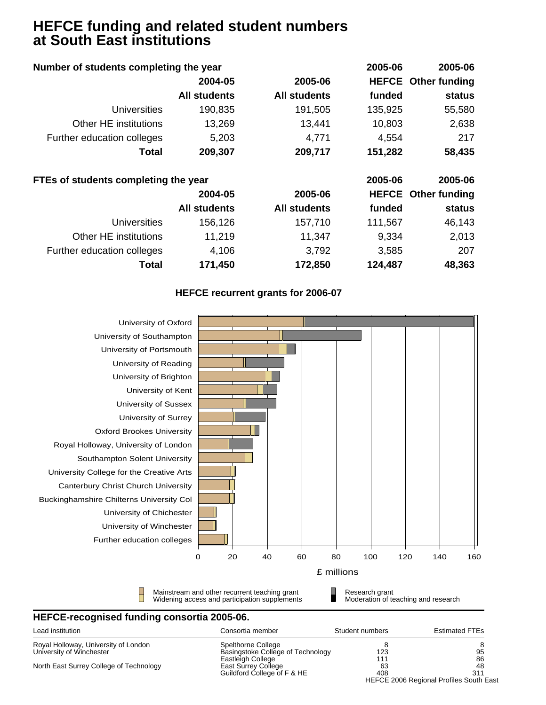## **HEFCE funding and related student numbers at South East institutions**

| Number of students completing the year |                     |                     | 2005-06 | 2005-06                    |
|----------------------------------------|---------------------|---------------------|---------|----------------------------|
|                                        | 2004-05             | 2005-06             |         | <b>HEFCE</b> Other funding |
|                                        | <b>All students</b> | <b>All students</b> | funded  | status                     |
| <b>Universities</b>                    | 190,835             | 191,505             | 135,925 | 55,580                     |
| Other HE institutions                  | 13,269              | 13,441              | 10,803  | 2,638                      |
| Further education colleges             | 5,203               | 4,771               | 4,554   | 217                        |
| Total                                  | 209,307             | 209,717             | 151,282 | 58,435                     |
| FTEs of students completing the year   |                     |                     | 2005-06 | 2005-06                    |
|                                        | 2004-05             | 2005-06             |         | <b>HEFCE</b> Other funding |
|                                        | <b>All students</b> | <b>All students</b> | funded  | status                     |
| <b>Universities</b>                    | 156,126             | 157,710             | 111,567 | 46,143                     |
| Other HE institutions                  | 11,219              | 11,347              | 9,334   | 2,013                      |
| Further education colleges             | 4,106               | 3,792               | 3,585   | 207                        |
| Total                                  | 171,450             | 172,850             | 124,487 | 48,363                     |

#### **HEFCE recurrent grants for 2006-07**



| Lead institution                        | Consortia member                  | Student numbers | <b>Estimated FTEs</b>                   |
|-----------------------------------------|-----------------------------------|-----------------|-----------------------------------------|
| Royal Holloway, University of London    | Spelthorne College                |                 |                                         |
| University of Winchester                | Basingstoke College of Technology | 123             | 95                                      |
|                                         | Eastleigh College                 | 111             | 86                                      |
| North East Surrey College of Technology | East Surrey College               | 63              | 48                                      |
|                                         | Guildford College of F & HE       | 408             | 311                                     |
|                                         |                                   |                 | HEFCE 2006 Regional Profiles South East |
|                                         |                                   |                 |                                         |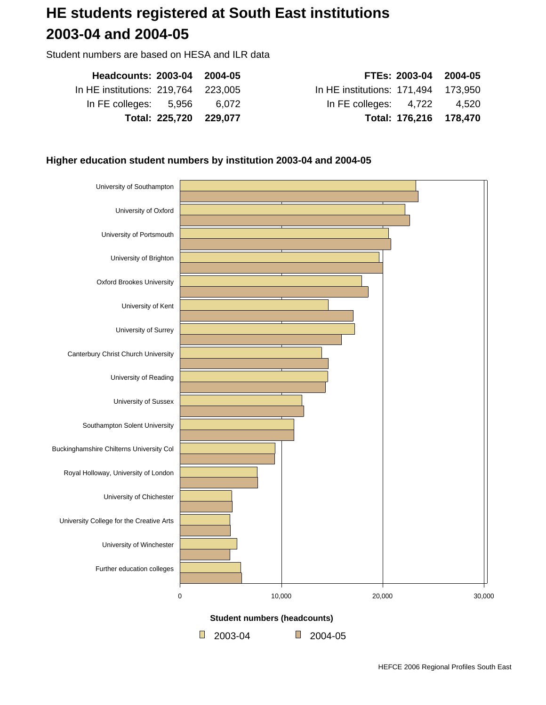## **HE students registered at South East institutions 2003-04 and 2004-05**

Student numbers are based on HESA and ILR data

| Headcounts: 2003-04 2004-05         | FTEs: 2003-04 2004-05               |  |
|-------------------------------------|-------------------------------------|--|
| In HE institutions: 219,764 223,005 | In HE institutions: 171,494 173,950 |  |
| In FE colleges: 5,956 6.072         | In FE colleges: 4,722 4,520         |  |
| Total: 225,720 229,077              | Total: 176,216 178,470              |  |

#### **Higher education student numbers by institution 2003-04 and 2004-05**

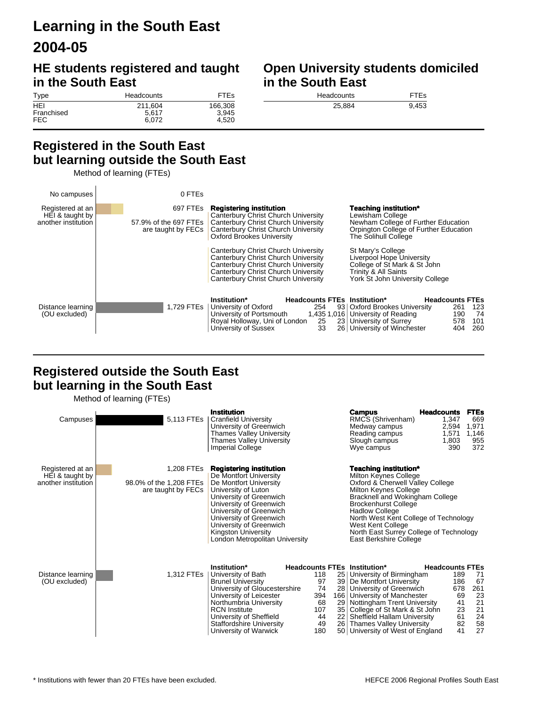## **Learning in the South East 2004-05**

## **HE students registered and taught in the South East**

#### **Open University students domiciled in the South East**

| Type       | Headcounts | <b>FTEs</b> |
|------------|------------|-------------|
| HEI        | 211.604    | 166,308     |
| Franchised | 5.617      | 3.945       |
| FEC.       | 6.072      | 4.520       |

| <b>Headcounts</b> | <b>FTEs</b> |
|-------------------|-------------|
| 25.884            | 9,453       |

#### **Registered in the South East but learning outside the South East**

Method of learning (FTEs)



#### **Registered outside the South East but learning in the South East**

Method of learning (FTEs)

| Campuses                                                   | 5,113 FTEs                                                  | <b>Institution</b><br><b>Cranfield University</b><br>University of Greenwich<br>Thames Valley University<br><b>Thames Valley University</b><br><b>Imperial College</b>                                                                                                                                    |                                                                                                                   | <b>Campus</b><br>RMCS (Shrivenham)<br>Medway campus<br>Reading campus<br>Slough campus<br>Wye campus                                                                                                                                                                                                                                             | <b>Headcounts</b><br>1,347<br>2,594<br>1,571<br>1,803<br>390                    | <b>FTEs</b><br>669<br>1,971<br>1,146<br>955<br>372      |
|------------------------------------------------------------|-------------------------------------------------------------|-----------------------------------------------------------------------------------------------------------------------------------------------------------------------------------------------------------------------------------------------------------------------------------------------------------|-------------------------------------------------------------------------------------------------------------------|--------------------------------------------------------------------------------------------------------------------------------------------------------------------------------------------------------------------------------------------------------------------------------------------------------------------------------------------------|---------------------------------------------------------------------------------|---------------------------------------------------------|
| Registered at an<br>HEI & taught by<br>another institution | 1,208 FTEs<br>98.0% of the 1,208 FTEs<br>are taught by FECs | <b>Registering institution</b><br>De Montfort University<br>De Montfort University<br>University of Luton<br>University of Greenwich<br>University of Greenwich<br>University of Greenwich<br>University of Greenwich<br>University of Greenwich<br>Kingston University<br>London Metropolitan University |                                                                                                                   | <b>Teaching institution*</b><br>Milton Keynes College<br>Oxford & Cherwell Valley College<br>Milton Keynes College<br>Bracknell and Wokingham College<br><b>Brockenhurst College</b><br><b>Hadlow College</b><br>North West Kent College of Technology<br>West Kent College<br>North East Surrey College of Technology<br>East Berkshire College |                                                                                 |                                                         |
| Distance learning<br>(OU excluded)                         | 1,312 FTEs                                                  | Institution*<br>University of Bath<br><b>Brunel University</b><br>University of Gloucestershire<br>University of Leicester<br>Northumbria University<br><b>RCN Institute</b><br>University of Sheffield<br><b>Staffordshire University</b><br>University of Warwick                                       | 118<br>25 <br>97<br>39 <sup>°</sup><br>74<br>28 <sup>2</sup><br>394<br>68<br>29 <br>107<br>35 <br>44<br>49<br>180 | Headcounts FTEs Institution*<br>University of Birmingham<br>De Montfort University<br>University of Greenwich<br>166   University of Manchester<br>Nottingham Trent University<br>College of St Mark & St John<br>22   Sheffield Hallam University<br>26 Thames Valley University<br>50 University of West of England                            | <b>Headcounts FTEs</b><br>189<br>186<br>678<br>69<br>41<br>23<br>61<br>82<br>41 | 71<br>67<br>261<br>23<br>21<br>$^{21}_{24}$<br>58<br>27 |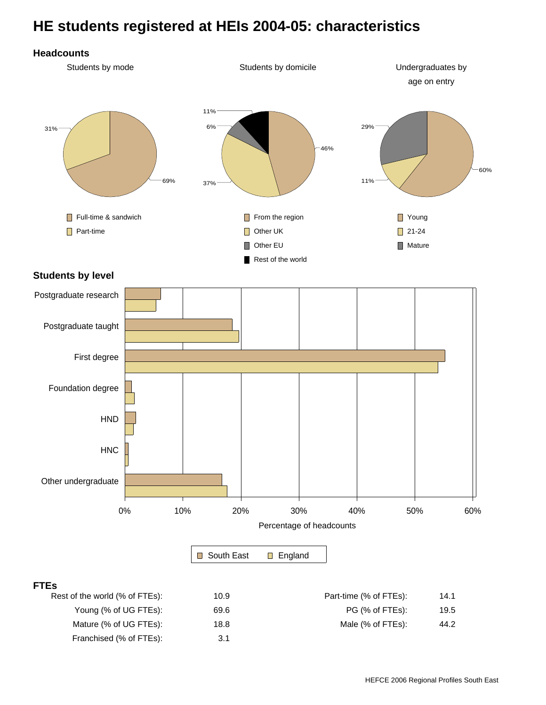## **HE students registered at HEIs 2004-05: characteristics**



#### **FTEs**

| Rest of the world (% of FTEs): | 10.9 | Part-time (% of FTEs): | 14.1 |
|--------------------------------|------|------------------------|------|
| Young (% of UG FTEs):          | 69.6 | PG (% of FTEs):        | 19.5 |
| Mature (% of UG FTEs):         | 18.8 | Male (% of FTEs):      | 44.2 |
| Franchised (% of FTEs):        | 3.1  |                        |      |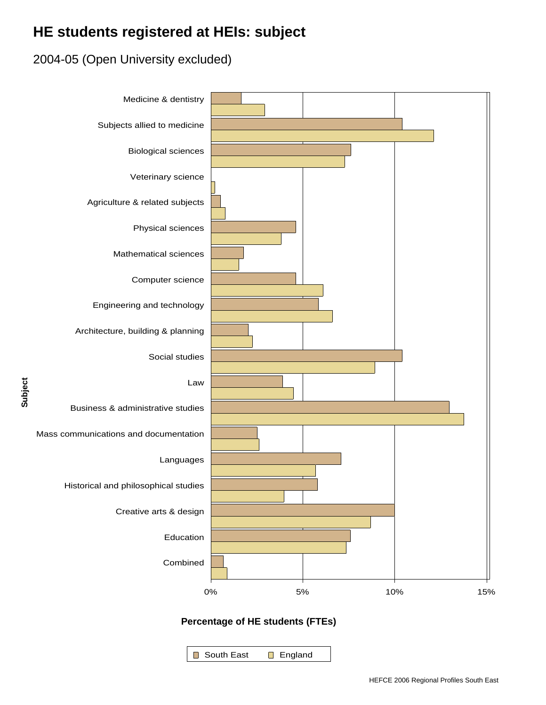## **HE students registered at HEIs: subject**

## 2004-05 (Open University excluded)



South East England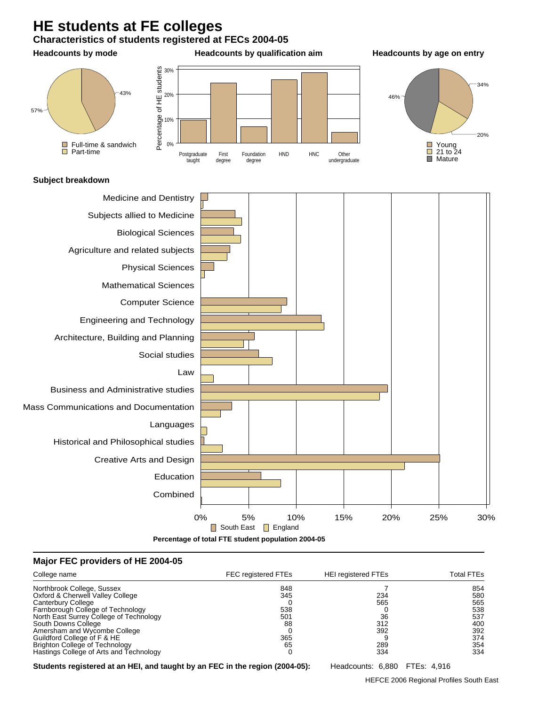## **HE students at FE colleges**





#### **Major FEC providers of HE 2004-05**

| College name                            | <b>FEC registered FTEs</b> | <b>HEI registered FTEs</b> | Total FTEs |
|-----------------------------------------|----------------------------|----------------------------|------------|
| Northbrook College, Sussex              | 848                        |                            | 854        |
| Oxford & Cherwell Valley College        | 345                        | 234                        | 580        |
| Canterbury College                      |                            | 565                        | 565        |
| Farnborough College of Technology       | 538                        |                            | 538        |
| North East Surrey College of Technology | 501                        | 36                         | 537        |
| South Downs College                     | 88                         | 312                        | 400        |
| Amersham and Wycombe College            |                            | 392                        | 392        |
| Guildford College of F & HE             | 365                        |                            | 374        |
| <b>Brighton College of Technology</b>   | 65                         | 289                        | 354        |
| Hastings College of Arts and Technology |                            | 334                        | 334        |

**Students registered at an HEI, and taught by an FEC in the region (2004-05):** Headcounts: 6,880 FTEs: 4,916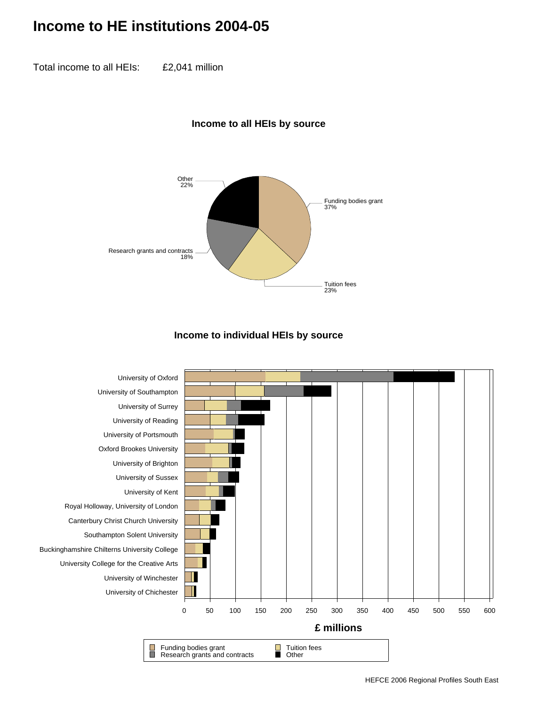## **Income to HE institutions 2004-05**

Total income to all HEIs: £2,041 million

#### **Income to all HEIs by source**



#### **Income to individual HEIs by source**

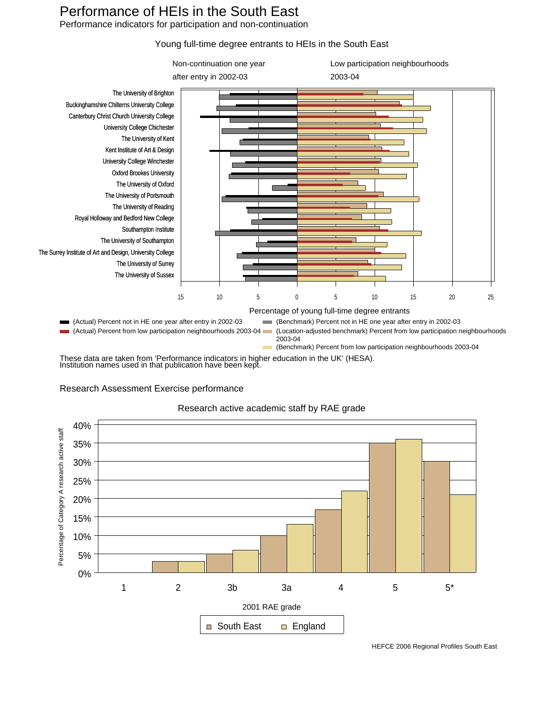## Performance of HEIs in the South East

Performance indicators for participation and non-continuation

#### Young full-time degree entrants to HEIs in the South East



These data are taken from 'Performance indicators in higher education in the UK' (HESA). Institution names used in that publication have been kept.

#### Research Assessment Exercise performance

## Research active academic staff by RAE grade



HEFCE 2006 Regional Profiles South East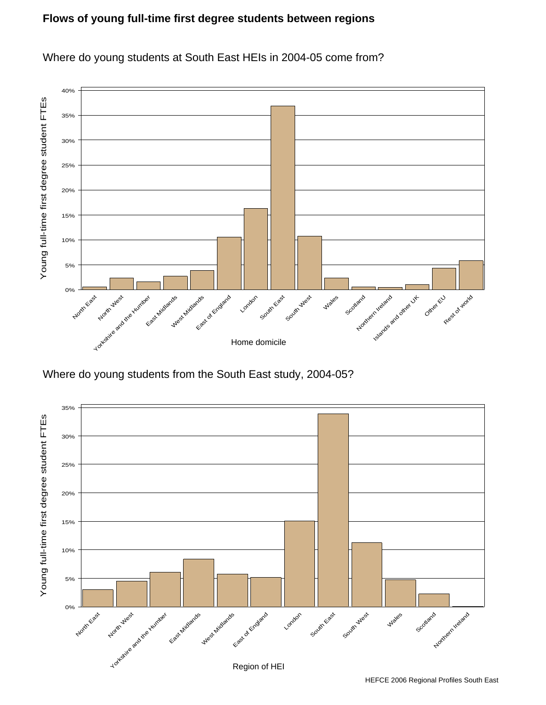#### **Flows of young full-time first degree students between regions**



Where do young students at South East HEIs in 2004-05 come from?

Where do young students from the South East study, 2004-05?

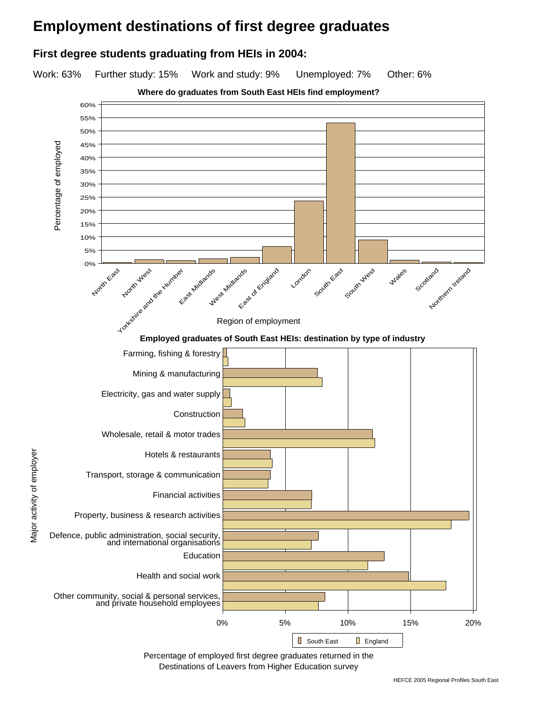## **Employment destinations of first degree graduates**

#### **First degree students graduating from HEIs in 2004:**

Work: 63% Further study: 15% Work and study: 9% Unemployed: 7% Other: 6%



Percentage of employed first degree graduates returned in the Destinations of Leavers from Higher Education survey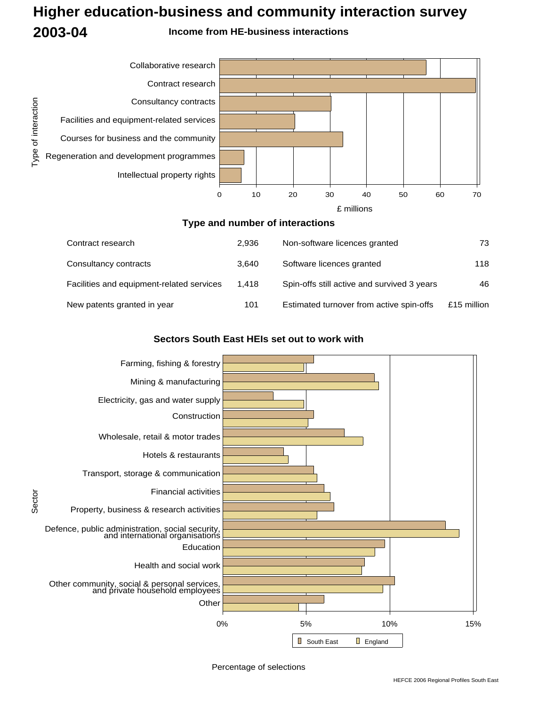## **Higher education-business and community interaction survey 2003-04 Income from HE-business interactions**



#### **Type and number of interactions**

| Contract research                         | 2.936 | Non-software licences granted               | 73          |
|-------------------------------------------|-------|---------------------------------------------|-------------|
| Consultancy contracts                     | 3.640 | Software licences granted                   | 118         |
| Facilities and equipment-related services | 1.418 | Spin-offs still active and survived 3 years | 46          |
| New patents granted in year               | 101   | Estimated turnover from active spin-offs    | £15 million |

#### **Sectors South East HEIs set out to work with**



Sector

Percentage of selections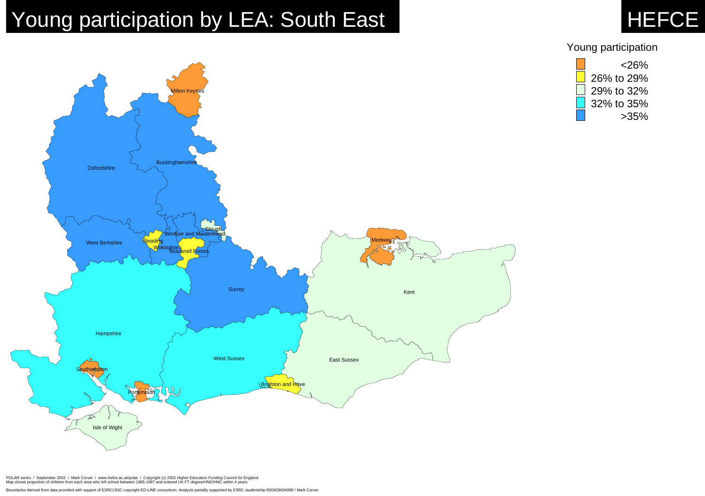Boundaries derived from data provided with support of ESRC/JISC copyright ED-LINE consortium. Analysis partially supported by ESRC studentship R00429934098 / Mark Corver.



## Young participation



# Young participation by LEA: South East HEFCE



POLAR series / September 2002 / Mark Corver / www.hefce.ac.uk/polar / Copyright (c) 2002 Higher Education Funding Council for England.<br>Map shows proportion of children from each area who left school between 1995-1997 and e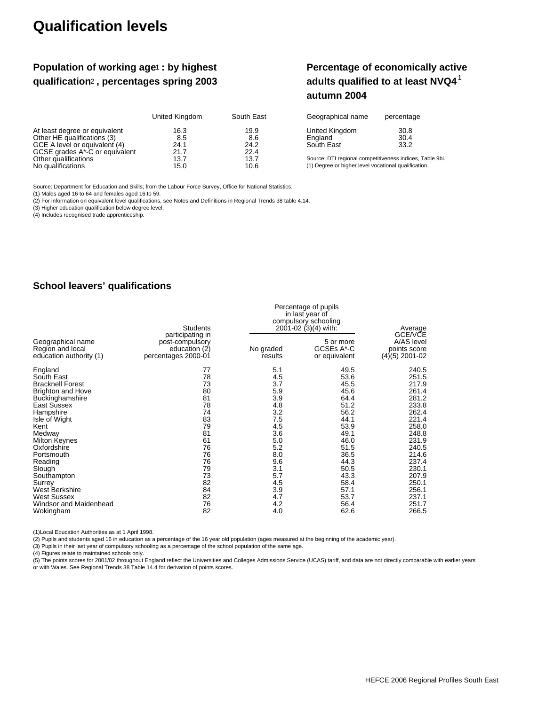## **Qualification levels**

#### Population of working age<sup>1</sup> : by highest **qualification , percentages spring 2003** 2

#### **Percentage of economically active adults qualified to at least NVQ4**<sup>1</sup> **autumn 2004**

|                                | United Kingdom | South East | Geographical name                                        | percentage |
|--------------------------------|----------------|------------|----------------------------------------------------------|------------|
| At least degree or equivalent  | 16.3           | 19.9       | United Kingdom                                           | 30.8       |
| Other HE qualifications (3)    | 8.5            | 8.6        | England                                                  | 30.4       |
| GCE A level or equivalent (4)  | 24.1           | 24.2       | South East                                               | 33.2       |
| GCSE grades A*-C or equivalent | 21.7           | 22.4       |                                                          |            |
| Other qualifications           | 13.7           | 13.7       | Source: DTI regional competitiveness indices, Table 9bi. |            |
| No qualifications              | 15.0           | 10.6       | (1) Degree or higher level vocational qualification.     |            |

Source: Department for Education and Skills; from the Labour Force Survey, Office for National Statistics.

(1) Males aged 16 to 64 and females aged 16 to 59.

(2) For information on equivalent level qualifications, see Notes and Definitions in Regional Trends 38 table 4.14.

(3) Higher education qualification below degree level.

(4) Includes recognised trade apprenticeship.

#### **School leavers' qualifications**

|                                                                  | Students                                                                    | Percentage of pupils<br>in last year of<br>compulsory schooling<br>2001-02 (3)(4) with: | Average                                  |                                                           |
|------------------------------------------------------------------|-----------------------------------------------------------------------------|-----------------------------------------------------------------------------------------|------------------------------------------|-----------------------------------------------------------|
| Geographical name<br>Region and local<br>education authority (1) | participating in<br>post-compulsory<br>education (2)<br>percentages 2000-01 | No graded<br>results                                                                    | 5 or more<br>GCSEs A*-C<br>or equivalent | GCE/VCE<br>A/AS level<br>points score<br>$(4)(5)$ 2001-02 |
| England                                                          | 77                                                                          | 5.1                                                                                     | 49.5                                     | 240.5                                                     |
| South East                                                       | 78                                                                          | 4.5                                                                                     | 53.6                                     | 251.5                                                     |
| <b>Bracknell Forest</b>                                          | 73                                                                          | 3.7                                                                                     | 45.5                                     | 217.9                                                     |
| <b>Brighton and Hove</b>                                         | 80                                                                          | 5.9                                                                                     | 45.6                                     | 261.4                                                     |
| Buckinghamshire                                                  | 81                                                                          | 3.9                                                                                     | 64.4                                     | 281.2                                                     |
| East Sussex                                                      | 78                                                                          | 4.8                                                                                     | 51.2                                     | 233.8                                                     |
| Hampshire                                                        | 74                                                                          | 3.2                                                                                     | 56.2                                     | 262.4                                                     |
| Isle of Wight                                                    | 83                                                                          | 7.5                                                                                     | 44.1                                     | 221.4                                                     |
| Kent                                                             | 79                                                                          | 4.5                                                                                     | 53.9                                     | 258.0                                                     |
| Medway                                                           | 81                                                                          | 3.6                                                                                     | 49.1                                     | 248.8                                                     |
| <b>Milton Keynes</b>                                             | 61                                                                          | 5.0                                                                                     | 46.0                                     | 231.9                                                     |
| Oxfordshire                                                      | 76                                                                          | 5.2                                                                                     | 51.5                                     | 240.5                                                     |
| Portsmouth                                                       | 76                                                                          | 8.0                                                                                     | 36.5                                     | 214.6                                                     |
| Reading                                                          | 76                                                                          | 9.6                                                                                     | 44.3                                     | 237.4                                                     |
| Slough                                                           | 79                                                                          | 3.1                                                                                     | 50.5                                     | 230.1                                                     |
| Southampton                                                      | 73                                                                          | 5.7                                                                                     | 43.3                                     | 207.9                                                     |
| Surrey                                                           | 82                                                                          | 4.5                                                                                     | 58.4                                     | 250.1                                                     |
| West Berkshire                                                   | 84                                                                          | 3.9                                                                                     | 57.1                                     | 256.1                                                     |
| <b>West Sussex</b>                                               | 82                                                                          | 4.7                                                                                     | 53.7                                     | 237.1                                                     |
| Windsor and Maidenhead                                           | 76                                                                          | 4.2                                                                                     | 56.4                                     | 251.7                                                     |
| Wokingham                                                        | 82                                                                          | 4.0                                                                                     | 62.6                                     | 266.5                                                     |

(1)Local Education Authorities as at 1 April 1998.

(2) Pupils and students aged 16 in education as a percentage of the 16 year old population (ages measured at the beginning of the academic year).

(3) Pupils in their last year of compulsory schooling as a percentage of the school population of the same age.

(4) Figures relate to maintained schools only.<br>(5) The points scores for 2001/02 throughout England reflect the Universities and Colleges Admissions Service (UCAS) tariff, and data are not directly comparable with earlier or with Wales. See Regional Trends 38 Table 14.4 for derivation of points scores.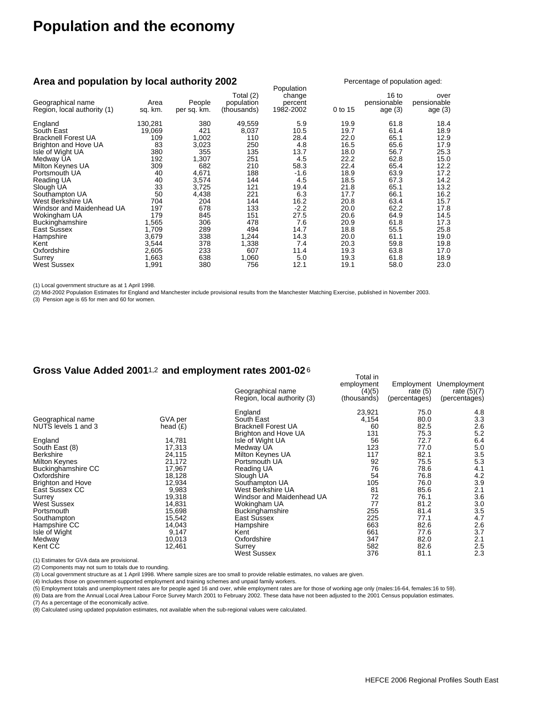## **Population and the economy**

#### **Area and population by local authority 2002**

| Area and population by local authority 2002      |                 |                       |                                        | Population                     |         | Percentage of population aged:               |                                  |  |
|--------------------------------------------------|-----------------|-----------------------|----------------------------------------|--------------------------------|---------|----------------------------------------------|----------------------------------|--|
| Geographical name<br>Region, local authority (1) | Area<br>sq. km. | People<br>per sq. km. | Total (2)<br>population<br>(thousands) | change<br>percent<br>1982-2002 | 0 to 15 | 16 <sub>to</sub><br>pensionable<br>age $(3)$ | over<br>pensionable<br>age $(3)$ |  |
| England                                          | 130,281         | 380                   | 49,559                                 | 5.9                            | 19.9    | 61.8                                         | 18.4                             |  |
| South East                                       | 19,069          | 421                   | 8,037                                  | 10.5                           | 19.7    | 61.4                                         | 18.9                             |  |
| <b>Bracknell Forest UA</b>                       | 109             | 1,002                 | 110                                    | 28.4                           | 22.0    | 65.1                                         | 12.9                             |  |
| Brighton and Hove UA                             | 83              | 3,023                 | 250                                    | 4.8                            | 16.5    | 65.6                                         | 17.9                             |  |
| Isle of Wight UA                                 | 380             | 355                   | 135                                    | 13.7                           | 18.0    | 56.7                                         | 25.3                             |  |
| Medway UA                                        | 192             | 1,307                 | 251                                    | 4.5                            | 22.2    | 62.8                                         | 15.0                             |  |
| Milton Keynes UA                                 | 309             | 682                   | 210                                    | 58.3                           | 22.4    | 65.4                                         | 12.2                             |  |
| Portsmouth UA                                    | 40              | 4,671                 | 188                                    | $-1.6$                         | 18.9    | 63.9                                         | 17.2                             |  |
| Reading UA                                       | 40              | 3,574                 | 144                                    | 4.5                            | 18.5    | 67.3                                         | 14.2                             |  |
| Slough UA                                        | 33              | 3,725                 | 121                                    | 19.4                           | 21.8    | 65.1                                         | 13.2                             |  |
| Southampton UA                                   | 50              | 4,438                 | 221                                    | 6.3                            | 17.7    | 66.1                                         | 16.2                             |  |
| West Berkshire UA                                | 704             | 204                   | 144                                    | 16.2                           | 20.8    | 63.4                                         | 15.7                             |  |
| Windsor and Maidenhead UA                        | 197             | 678                   | 133                                    | $-2.2$                         | 20.0    | 62.2                                         | 17.8                             |  |
| Wokingham UA                                     | 179             | 845                   | 151                                    | 27.5                           | 20.6    | 64.9                                         | 14.5                             |  |
| Buckinghamshire                                  | 1,565           | 306                   | 478                                    | 7.6                            | 20.9    | 61.8                                         | 17.3                             |  |
| East Sussex                                      | 1,709           | 289                   | 494                                    | 14.7                           | 18.8    | 55.5                                         | 25.8                             |  |
| Hampshire                                        | 3,679           | 338                   | 1,244                                  | 14.3                           | 20.0    | 61.1                                         | 19.0                             |  |
| Kent                                             | 3,544           | 378                   | 1,338                                  | 7.4                            | 20.3    | 59.8                                         | 19.8                             |  |
| Oxfordshire                                      | 2,605           | 233                   | 607                                    | 11.4                           | 19.3    | 63.8                                         | 17.0                             |  |
| Surrey                                           | 1,663           | 638                   | 1,060                                  | 5.0                            | 19.3    | 61.8                                         | 18.9                             |  |
| West Sussex                                      | 1,991           | 380                   | 756                                    | 12.1                           | 19.1    | 58.0                                         | 23.0                             |  |

(1) Local government structure as at 1 April 1998.

(2) Mid-2002 Population Estimates for England and Manchester include provisional results from the Manchester Matching Exercise, published in November 2003.

(3) Pension age is 65 for men and 60 for women.

#### Gross Value Added 2001<sup>1,2</sup> and employment rates 2001-02<sup>6</sup>

|                          |            | Geographical name           | employment<br>(4)(5) | Employment<br>rate $(5)$ | Unemployment<br>rate $(5)(7)$ |
|--------------------------|------------|-----------------------------|----------------------|--------------------------|-------------------------------|
|                          |            | Region, local authority (3) | (thousands)          | (percentages)            | (percentages)                 |
|                          |            | England                     | 23,921               | 75.0                     | 4.8                           |
| Geographical name        | GVA per    | South East                  | 4,154                | 80.0                     | 3.3                           |
| NUTS levels 1 and 3      | head $(E)$ | <b>Bracknell Forest UA</b>  | 60                   | 82.5                     | 2.6                           |
|                          |            | Brighton and Hove UA        | 131                  | 75.3                     | 5.2                           |
| England                  | 14,781     | Isle of Wight UA            | 56                   | 72.7                     | 6.4                           |
| South East (8)           | 17,313     | Medway UA                   | 123                  | 77.0                     | 5.0                           |
| <b>Berkshire</b>         | 24,115     | Milton Keynes UA            | 117                  | 82.1                     | 3.5                           |
| <b>Milton Keynes</b>     | 21,172     | Portsmouth UA               | 92                   | 75.5                     | 5.3                           |
| Buckinghamshire CC       | 17,967     | Reading UA                  | 76                   | 78.6                     | 4.1                           |
| Oxfordshire              | 18,128     | Slough UA                   | 54                   | 76.8                     | 4.2                           |
| <b>Brighton and Hove</b> | 12,934     | Southampton UA              | 105                  | 76.0                     | 3.9                           |
| East Sussex CC           | 9,983      | West Berkshire UA           | 81                   | 85.6                     | 2.1                           |
| Surrey                   | 19,318     | Windsor and Maidenhead UA   | 72                   | 76.1                     | 3.6                           |
| <b>West Sussex</b>       | 14,831     | Wokingham UA                | 77                   | 81.2                     | 3.0                           |
| Portsmouth               | 15,698     | Buckinghamshire             | 255                  | 81.4                     | 3.5                           |
| Southampton              | 15,542     | East Sussex                 | 225                  | 77.1                     | 4.7                           |
| Hampshire CC             | 14,043     | Hampshire                   | 663                  | 82.6                     | 2.6                           |
| Isle of Wight            | 9,147      | Kent                        | 661                  | 77.6                     | 3.7                           |
| Medway                   | 10,013     | Oxfordshire                 | 347                  | 82.0                     | 2.1                           |
| Kent CC                  | 12,461     | Surrey                      | 582                  | 82.6                     | 2.5                           |
|                          |            | <b>West Sussex</b>          | 376                  | 81.1                     | 2.3                           |

(1) Estimates for GVA data are provisional.

(2) Components may not sum to totals due to rounding.

(3) Local government structure as at 1 April 1998. Where sample sizes are too small to provide reliable estimates, no values are given.

(4) Includes those on government-supported employment and training schemes and unpaid family workers.<br>(5) Employment totals and unemployment rates are for people aged 16 and over, while employment rates are for those of wo

(6) Data are from the Annual Local Area Labour Force Survey March 2001 to February 2002. These data have not been adjusted to the 2001 Census population estimates.

(7) As a percentage of the economically active.

(8) Calculated using updated population estimates, not available when the sub-regional values were calculated.

Percentage of population aged:

Total in